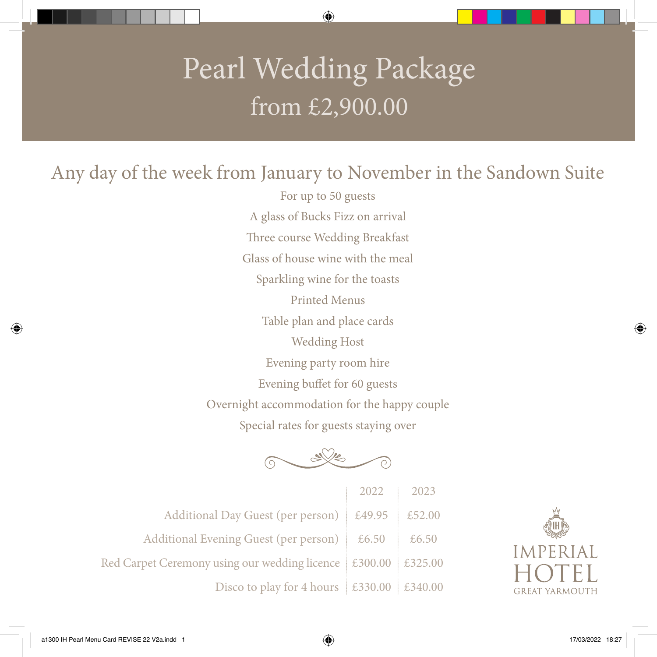## Pearl Wedding Package from £2,900.00

Any day of the week from January to November in the Sandown Suite

For up to 50 guests A glass of Bucks Fizz on arrival Three course Wedding Breakfast Glass of house wine with the meal Sparkling wine for the toasts Printed Menus Table plan and place cards Wedding Host Evening party room hire Evening buffet for 60 guests Overnight accommodation for the happy couple Special rates for guests staying over



|                                                               | 2022   | $\begin{array}{c} \boxed{2023} \end{array}$ |
|---------------------------------------------------------------|--------|---------------------------------------------|
| Additional Day Guest (per person)                             | £49.95 | £52.00                                      |
| Additional Evening Guest (per person) $\approx$ £6.50         |        | £6.50                                       |
| Red Carpet Ceremony using our wedding licence £300.00 £325.00 |        |                                             |
| Disco to play for 4 hours $\vert$ £330.00 $\vert$ £340.00     |        |                                             |